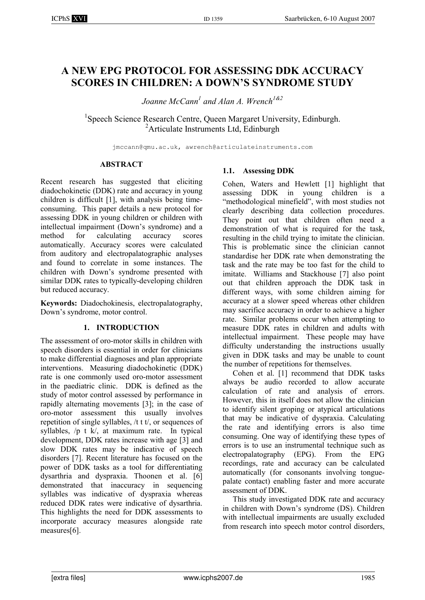# **A NEW EPG PROTOCOL FOR ASSESSING DDK ACCURACY SCORES IN CHILDREN: A DOWN'S SYNDROME STUDY**

*Joanne McCann1 and Alan A. Wrench1&2*

<sup>1</sup>Speech Science Research Centre, Queen Margaret University, Edinburgh. 2 Articulate Instruments Ltd, Edinburgh

jmccann@qmu.ac.uk, awrench@articulateinstruments.com

## **ABSTRACT**

Recent research has suggested that eliciting diadochokinetic (DDK) rate and accuracy in young children is difficult [1], with analysis being timeconsuming. This paper details a new protocol for assessing DDK in young children or children with intellectual impairment (Down's syndrome) and a method for calculating accuracy scores automatically. Accuracy scores were calculated from auditory and electropalatographic analyses and found to correlate in some instances. The children with Down's syndrome presented with similar DDK rates to typically-developing children but reduced accuracy.

**Keywords:** Diadochokinesis, electropalatography, Down's syndrome, motor control.

# **1. INTRODUCTION**

The assessment of oro-motor skills in children with speech disorders is essential in order for clinicians to make differential diagnoses and plan appropriate interventions. Measuring diadochokinetic (DDK) rate is one commonly used oro-motor assessment in the paediatric clinic. DDK is defined as the study of motor control assessed by performance in rapidly alternating movements [3]; in the case of oro-motor assessment this usually involves repetition of single syllables, /t t t/, or sequences of syllables, /p t k/, at maximum rate. In typical development, DDK rates increase with age [3] and slow DDK rates may be indicative of speech disorders [7]. Recent literature has focused on the power of DDK tasks as a tool for differentiating dysarthria and dyspraxia. Thoonen et al. [6] demonstrated that inaccuracy in sequencing syllables was indicative of dyspraxia whereas reduced DDK rates were indicative of dysarthria. This highlights the need for DDK assessments to incorporate accuracy measures alongside rate measures[6].

# **1.1. Assessing DDK**

Cohen, Waters and Hewlett [1] highlight that assessing DDK in young children is a "methodological minefield", with most studies not clearly describing data collection procedures. They point out that children often need a demonstration of what is required for the task, resulting in the child trying to imitate the clinician. This is problematic since the clinician cannot standardise her DDK rate when demonstrating the task and the rate may be too fast for the child to imitate. Williams and Stackhouse [7] also point out that children approach the DDK task in different ways, with some children aiming for accuracy at a slower speed whereas other children may sacrifice accuracy in order to achieve a higher rate. Similar problems occur when attempting to measure DDK rates in children and adults with intellectual impairment. These people may have difficulty understanding the instructions usually given in DDK tasks and may be unable to count the number of repetitions for themselves.

Cohen et al. [1] recommend that DDK tasks always be audio recorded to allow accurate calculation of rate and analysis of errors. However, this in itself does not allow the clinician to identify silent groping or atypical articulations that may be indicative of dyspraxia. Calculating the rate and identifying errors is also time consuming. One way of identifying these types of errors is to use an instrumental technique such as electropalatography (EPG). From the EPG recordings, rate and accuracy can be calculated automatically (for consonants involving tonguepalate contact) enabling faster and more accurate assessment of DDK.

This study investigated DDK rate and accuracy in children with Down's syndrome (DS). Children with intellectual impairments are usually excluded from research into speech motor control disorders,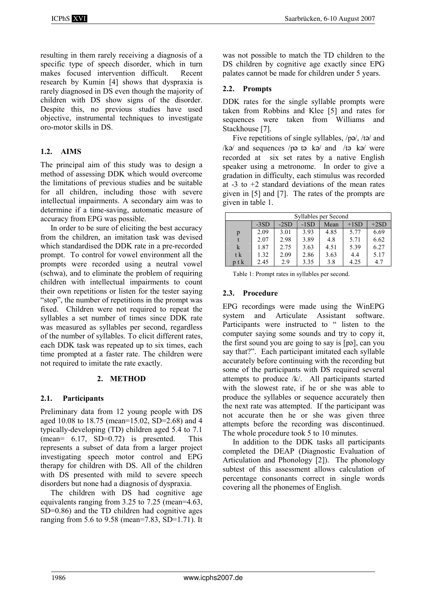resulting in them rarely receiving a diagnosis of a specific type of speech disorder, which in turn makes focused intervention difficult. Recent research by Kumin [4] shows that dyspraxia is rarely diagnosed in DS even though the majority of children with DS show signs of the disorder. Despite this, no previous studies have used objective, instrumental techniques to investigate oro-motor skills in DS.

## **1.2. AIMS**

The principal aim of this study was to design a method of assessing DDK which would overcome the limitations of previous studies and be suitable for all children, including those with severe intellectual impairments. A secondary aim was to determine if a time-saving, automatic measure of accuracy from EPG was possible.

In order to be sure of eliciting the best accuracy from the children, an imitation task was devised which standardised the DDK rate in a pre-recorded prompt. To control for vowel environment all the prompts were recorded using a neutral vowel (schwa), and to eliminate the problem of requiring children with intellectual impairments to count their own repetitions or listen for the tester saying "stop", the number of repetitions in the prompt was fixed. Children were not required to repeat the syllables a set number of times since DDK rate was measured as syllables per second, regardless of the number of syllables. To elicit different rates, each DDK task was repeated up to six times, each time prompted at a faster rate. The children were not required to imitate the rate exactly.

# **2. METHOD**

# **2.1. Participants**

Preliminary data from 12 young people with DS aged 10.08 to 18.75 (mean=15.02, SD=2.68) and 4 typically-developing (TD) children aged 5.4 to 7.1  $(mean= 6.17, SD=0.72)$  is presented. This represents a subset of data from a larger project investigating speech motor control and EPG therapy for children with DS. All of the children with DS presented with mild to severe speech disorders but none had a diagnosis of dyspraxia.

The children with DS had cognitive age equivalents ranging from 3.25 to 7.25 (mean=4.63, SD=0.86) and the TD children had cognitive ages ranging from 5.6 to 9.58 (mean=7.83, SD=1.71). It was not possible to match the TD children to the DS children by cognitive age exactly since EPG palates cannot be made for children under 5 years.

## **2.2. Prompts**

DDK rates for the single syllable prompts were taken from Robbins and Klee [5] and rates for sequences were taken from Williams and Stackhouse [7].

Five repetitions of single syllables,  $/p\mathsf{p}/\mathsf{p}/\mathsf{p}/\mathsf{p}$  and  $/k\phi$  and sequences /p $\phi$  t $\phi$  k $\phi$  and /t $\phi$  k $\phi$  were recorded at six set rates by a native English speaker using a metronome. In order to give a gradation in difficulty, each stimulus was recorded at  $-3$  to  $+2$  standard deviations of the mean rates given in [5] and [7]. The rates of the prompts are given in table 1.

| Syllables per Second |        |        |        |      |        |        |  |  |
|----------------------|--------|--------|--------|------|--------|--------|--|--|
|                      | $-3SD$ | $-2SD$ | $-1SD$ | Mean | $+1SD$ | $+2SD$ |  |  |
| p                    | 2.09   | 3.01   | 3.93   | 4.85 | 5.77   | 6.69   |  |  |
|                      | 2.07   | 2.98   | 3.89   | 4.8  | 5.71   | 6.62   |  |  |
| k                    | 1.87   | 2.75   | 3.63   | 4.51 | 5.39   | 6.27   |  |  |
| t k                  | 1.32   | 2.09   | 2.86   | 3.63 | 4.4    | 5.17   |  |  |
| p t k                | 2.45   | 2.9    | 3.35   | 3.8  | 4.25   | 4.7    |  |  |

Table 1: Prompt rates in syllables per second.

## **2.3. Procedure**

EPG recordings were made using the WinEPG system and Articulate Assistant software. Participants were instructed to " listen to the computer saying some sounds and try to copy it, the first sound you are going to say is  $[p<sub>o</sub>]$ , can you say that?". Each participant imitated each syllable accurately before continuing with the recording but some of the participants with DS required several attempts to produce /k/. All participants started with the slowest rate, if he or she was able to produce the syllables or sequence accurately then the next rate was attempted. If the participant was not accurate then he or she was given three attempts before the recording was discontinued. The whole procedure took 5 to 10 minutes.

In addition to the DDK tasks all participants completed the DEAP (Diagnostic Evaluation of Articulation and Phonology [2]). The phonology subtest of this assessment allows calculation of percentage consonants correct in single words covering all the phonemes of English.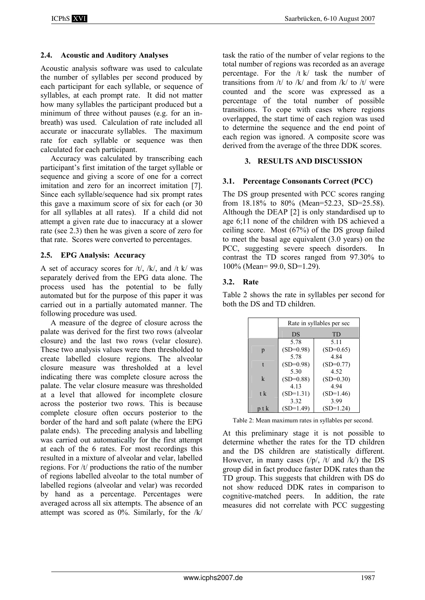## **2.4. Acoustic and Auditory Analyses**

Acoustic analysis software was used to calculate the number of syllables per second produced by each participant for each syllable, or sequence of syllables, at each prompt rate. It did not matter how many syllables the participant produced but a minimum of three without pauses (e.g. for an inbreath) was used. Calculation of rate included all accurate or inaccurate syllables. The maximum rate for each syllable or sequence was then calculated for each participant.

Accuracy was calculated by transcribing each participant's first imitation of the target syllable or sequence and giving a score of one for a correct imitation and zero for an incorrect imitation [7]. Since each syllable/sequence had six prompt rates this gave a maximum score of six for each (or 30 for all syllables at all rates). If a child did not attempt a given rate due to inaccuracy at a slower rate (see 2.3) then he was given a score of zero for that rate. Scores were converted to percentages.

#### **2.5. EPG Analysis: Accuracy**

A set of accuracy scores for  $/t/$ ,  $/k/$ , and  $/t k/$  was separately derived from the EPG data alone. The process used has the potential to be fully automated but for the purpose of this paper it was carried out in a partially automated manner. The following procedure was used.

A measure of the degree of closure across the palate was derived for the first two rows (alveolar closure) and the last two rows (velar closure). These two analysis values were then thresholded to create labelled closure regions. The alveolar closure measure was thresholded at a level indicating there was complete closure across the palate. The velar closure measure was thresholded at a level that allowed for incomplete closure across the posterior two rows. This is because complete closure often occurs posterior to the border of the hard and soft palate (where the EPG palate ends). The preceding analysis and labelling was carried out automatically for the first attempt at each of the 6 rates. For most recordings this resulted in a mixture of alveolar and velar, labelled regions. For /t/ productions the ratio of the number of regions labelled alveolar to the total number of labelled regions (alveolar and velar) was recorded by hand as a percentage. Percentages were averaged across all six attempts. The absence of an attempt was scored as  $0\%$ . Similarly, for the /k/

task the ratio of the number of velar regions to the total number of regions was recorded as an average percentage. For the /t k/ task the number of transitions from  $/t/$  to  $/k/$  and from  $/k/$  to  $/t/$  were counted and the score was expressed as a percentage of the total number of possible transitions. To cope with cases where regions overlapped, the start time of each region was used to determine the sequence and the end point of each region was ignored. A composite score was derived from the average of the three DDK scores.

## **3. RESULTS AND DISCUSSION**

## **3.1. Percentage Consonants Correct (PCC)**

The DS group presented with PCC scores ranging from 18.18% to 80% (Mean=52.23, SD=25.58). Although the DEAP [2] is only standardised up to age 6;11 none of the children with DS achieved a ceiling score. Most (67%) of the DS group failed to meet the basal age equivalent (3.0 years) on the PCC, suggesting severe speech disorders. In contrast the TD scores ranged from 97.30% to 100% (Mean= 99.0, SD=1.29).

## **3.2. Rate**

Table 2 shows the rate in syllables per second for both the DS and TD children.

|       | Rate in syllables per sec |             |  |  |  |
|-------|---------------------------|-------------|--|--|--|
|       | DS                        | TD          |  |  |  |
|       | 5.78                      | 5.11        |  |  |  |
| p     | $(SD=0.98)$               | $(SD=0.65)$ |  |  |  |
|       | 5.78                      | 4.84        |  |  |  |
| t     | $(SD=0.98)$               | $(SD=0.77)$ |  |  |  |
|       | 5.30                      | 4.52        |  |  |  |
| k     | $(SD=0.88)$               | $(SD=0.30)$ |  |  |  |
|       | 4.13                      | 4.94        |  |  |  |
| t k   | $(SD=1.31)$               | $(SD=1.46)$ |  |  |  |
|       | 3.32                      | 3.99        |  |  |  |
| p t k | $(SD=1.49)$               | $(SD=1.24)$ |  |  |  |

Table 2: Mean maximum rates in syllables per second.

At this preliminary stage it is not possible to determine whether the rates for the TD children and the DS children are statistically different. However, in many cases  $(|p\rangle, |t\rangle)$  and  $|k\rangle$  the DS group did in fact produce faster DDK rates than the TD group. This suggests that children with DS do not show reduced DDK rates in comparison to cognitive-matched peers. In addition, the rate measures did not correlate with PCC suggesting